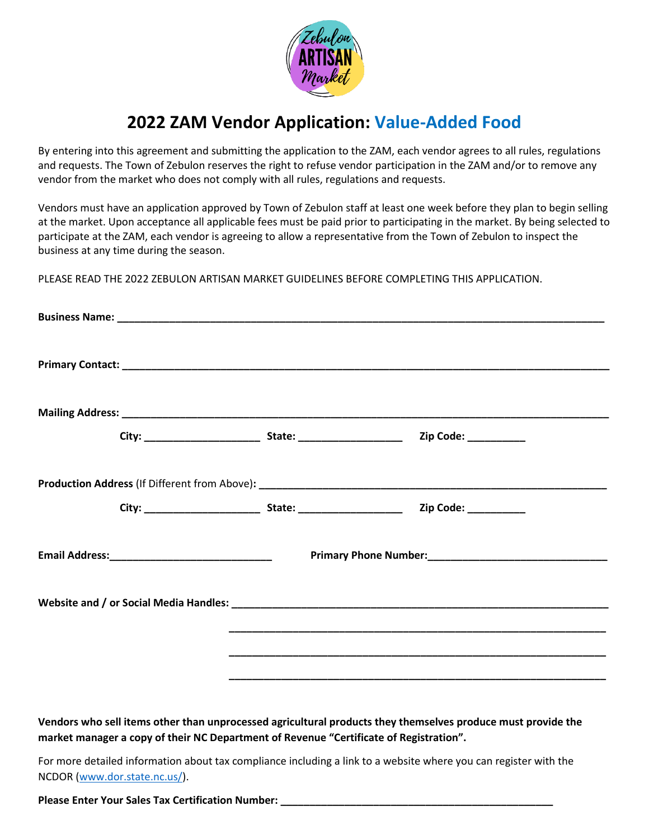

## **2022 ZAM Vendor Application: Value-Added Food**

By entering into this agreement and submitting the application to the ZAM, each vendor agrees to all rules, regulations and requests. The Town of Zebulon reserves the right to refuse vendor participation in the ZAM and/or to remove any vendor from the market who does not comply with all rules, regulations and requests.

Vendors must have an application approved by Town of Zebulon staff at least one week before they plan to begin selling at the market. Upon acceptance all applicable fees must be paid prior to participating in the market. By being selected to participate at the ZAM, each vendor is agreeing to allow a representative from the Town of Zebulon to inspect the business at any time during the season.

PLEASE READ THE 2022 ZEBULON ARTISAN MARKET GUIDELINES BEFORE COMPLETING THIS APPLICATION.

|  | <u>. Andre and the second control of the second control of the second control of the second control of the second</u> |  |
|--|-----------------------------------------------------------------------------------------------------------------------|--|
|  |                                                                                                                       |  |
|  |                                                                                                                       |  |

**Vendors who sell items other than unprocessed agricultural products they themselves produce must provide the market manager a copy of their NC Department of Revenue "Certificate of Registration".**

For more detailed information about tax compliance including a link to a website where you can register with the NCDOR [\(www.dor.state.nc.us/\)](http://www.dor.state.nc.us/).

**Please Enter Your Sales Tax Certification Number:**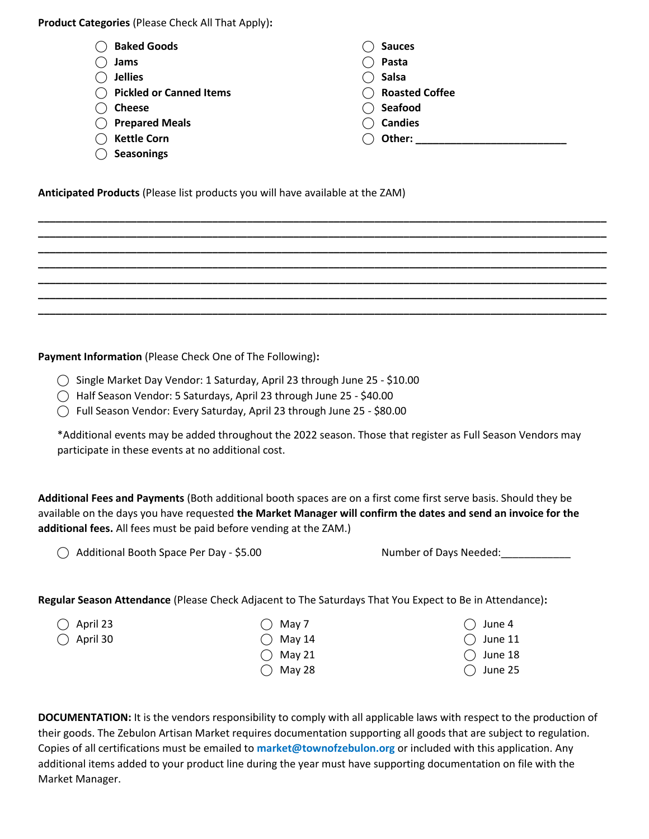**Product Categories** (Please Check All That Apply)**:** 

| <b>Baked Goods</b>             | <b>Sauces</b>         |
|--------------------------------|-----------------------|
| Jams                           | Pasta                 |
| <b>Jellies</b>                 | <b>Salsa</b>          |
| <b>Pickled or Canned Items</b> | <b>Roasted Coffee</b> |
| <b>Cheese</b>                  | Seafood               |
| <b>Prepared Meals</b>          | <b>Candies</b>        |
| <b>Kettle Corn</b>             | Other:                |
| <b>Seasonings</b>              |                       |

**\_\_\_\_\_\_\_\_\_\_\_\_\_\_\_\_\_\_\_\_\_\_\_\_\_\_\_\_\_\_\_\_\_\_\_\_\_\_\_\_\_\_\_\_\_\_\_\_\_\_\_\_\_\_\_\_\_\_\_\_\_\_\_\_\_\_\_\_\_\_\_\_\_\_\_\_\_\_\_\_\_\_\_\_\_\_\_\_\_\_\_\_\_\_\_\_\_\_ \_\_\_\_\_\_\_\_\_\_\_\_\_\_\_\_\_\_\_\_\_\_\_\_\_\_\_\_\_\_\_\_\_\_\_\_\_\_\_\_\_\_\_\_\_\_\_\_\_\_\_\_\_\_\_\_\_\_\_\_\_\_\_\_\_\_\_\_\_\_\_\_\_\_\_\_\_\_\_\_\_\_\_\_\_\_\_\_\_\_\_\_\_\_\_\_\_\_ \_\_\_\_\_\_\_\_\_\_\_\_\_\_\_\_\_\_\_\_\_\_\_\_\_\_\_\_\_\_\_\_\_\_\_\_\_\_\_\_\_\_\_\_\_\_\_\_\_\_\_\_\_\_\_\_\_\_\_\_\_\_\_\_\_\_\_\_\_\_\_\_\_\_\_\_\_\_\_\_\_\_\_\_\_\_\_\_\_\_\_\_\_\_\_\_\_\_ \_\_\_\_\_\_\_\_\_\_\_\_\_\_\_\_\_\_\_\_\_\_\_\_\_\_\_\_\_\_\_\_\_\_\_\_\_\_\_\_\_\_\_\_\_\_\_\_\_\_\_\_\_\_\_\_\_\_\_\_\_\_\_\_\_\_\_\_\_\_\_\_\_\_\_\_\_\_\_\_\_\_\_\_\_\_\_\_\_\_\_\_\_\_\_\_\_\_ \_\_\_\_\_\_\_\_\_\_\_\_\_\_\_\_\_\_\_\_\_\_\_\_\_\_\_\_\_\_\_\_\_\_\_\_\_\_\_\_\_\_\_\_\_\_\_\_\_\_\_\_\_\_\_\_\_\_\_\_\_\_\_\_\_\_\_\_\_\_\_\_\_\_\_\_\_\_\_\_\_\_\_\_\_\_\_\_\_\_\_\_\_\_\_\_\_\_ \_\_\_\_\_\_\_\_\_\_\_\_\_\_\_\_\_\_\_\_\_\_\_\_\_\_\_\_\_\_\_\_\_\_\_\_\_\_\_\_\_\_\_\_\_\_\_\_\_\_\_\_\_\_\_\_\_\_\_\_\_\_\_\_\_\_\_\_\_\_\_\_\_\_\_\_\_\_\_\_\_\_\_\_\_\_\_\_\_\_\_\_\_\_\_\_\_\_ \_\_\_\_\_\_\_\_\_\_\_\_\_\_\_\_\_\_\_\_\_\_\_\_\_\_\_\_\_\_\_\_\_\_\_\_\_\_\_\_\_\_\_\_\_\_\_\_\_\_\_\_\_\_\_\_\_\_\_\_\_\_\_\_\_\_\_\_\_\_\_\_\_\_\_\_\_\_\_\_\_\_\_\_\_\_\_\_\_\_\_\_\_\_\_\_\_\_**

**Anticipated Products** (Please list products you will have available at the ZAM)

**Payment Information** (Please Check One of The Following)**:**

- ⃝ Single Market Day Vendor: 1 Saturday, April 23 through June 25 \$10.00
- ⃝ Half Season Vendor: 5 Saturdays, April 23 through June 25 \$40.00
- ⃝ Full Season Vendor: Every Saturday, April 23 through June 25 \$80.00

\*Additional events may be added throughout the 2022 season. Those that register as Full Season Vendors may participate in these events at no additional cost.

**Additional Fees and Payments** (Both additional booth spaces are on a first come first serve basis. Should they be available on the days you have requested **the Market Manager will confirm the dates and send an invoice for the additional fees.** All fees must be paid before vending at the ZAM.)

◯ Additional Booth Space Per Day - \$5.00 Number of Days Needed:

 $\bigcirc$  June 4  $\bigcirc$  June 11  $\bigcirc$  June 18  $\bigcap$  June 25

**Regular Season Attendance** (Please Check Adjacent to The Saturdays That You Expect to Be in Attendance)**:**

 $\bigcirc$  April 23  $\bigcirc$  April 30  $\bigcirc$  May 7

- $\bigcirc$  May 14
- $\bigcirc$  May 21
- $\bigcirc$  May 28

**DOCUMENTATION:** It is the vendors responsibility to comply with all applicable laws with respect to the production of their goods. The Zebulon Artisan Market requires documentation supporting all goods that are subject to regulation. Copies of all certifications must be emailed to **market@townofzebulon.org** or included with this application. Any additional items added to your product line during the year must have supporting documentation on file with the Market Manager.